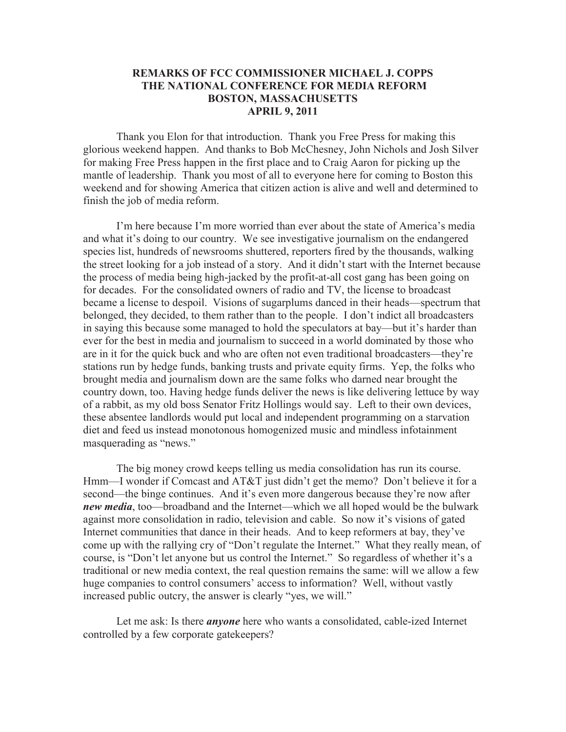## **REMARKS OF FCC COMMISSIONER MICHAEL J. COPPS THE NATIONAL CONFERENCE FOR MEDIA REFORM BOSTON, MASSACHUSETTS APRIL 9, 2011**

Thank you Elon for that introduction. Thank you Free Press for making this glorious weekend happen. And thanks to Bob McChesney, John Nichols and Josh Silver for making Free Press happen in the first place and to Craig Aaron for picking up the mantle of leadership. Thank you most of all to everyone here for coming to Boston this weekend and for showing America that citizen action is alive and well and determined to finish the job of media reform.

I'm here because I'm more worried than ever about the state of America's media and what it's doing to our country. We see investigative journalism on the endangered species list, hundreds of newsrooms shuttered, reporters fired by the thousands, walking the street looking for a job instead of a story. And it didn't start with the Internet because the process of media being high-jacked by the profit-at-all cost gang has been going on for decades. For the consolidated owners of radio and TV, the license to broadcast became a license to despoil. Visions of sugarplums danced in their heads—spectrum that belonged, they decided, to them rather than to the people. I don't indict all broadcasters in saying this because some managed to hold the speculators at bay—but it's harder than ever for the best in media and journalism to succeed in a world dominated by those who are in it for the quick buck and who are often not even traditional broadcasters—they're stations run by hedge funds, banking trusts and private equity firms. Yep, the folks who brought media and journalism down are the same folks who darned near brought the country down, too. Having hedge funds deliver the news is like delivering lettuce by way of a rabbit, as my old boss Senator Fritz Hollings would say. Left to their own devices, these absentee landlords would put local and independent programming on a starvation diet and feed us instead monotonous homogenized music and mindless infotainment masquerading as "news."

The big money crowd keeps telling us media consolidation has run its course. Hmm—I wonder if Comcast and AT&T just didn't get the memo? Don't believe it for a second—the binge continues. And it's even more dangerous because they're now after *new media*, too—broadband and the Internet—which we all hoped would be the bulwark against more consolidation in radio, television and cable. So now it's visions of gated Internet communities that dance in their heads. And to keep reformers at bay, they've come up with the rallying cry of "Don't regulate the Internet." What they really mean, of course, is "Don't let anyone but us control the Internet." So regardless of whether it's a traditional or new media context, the real question remains the same: will we allow a few huge companies to control consumers' access to information? Well, without vastly increased public outcry, the answer is clearly "yes, we will."

Let me ask: Is there *anyone* here who wants a consolidated, cable-ized Internet controlled by a few corporate gatekeepers?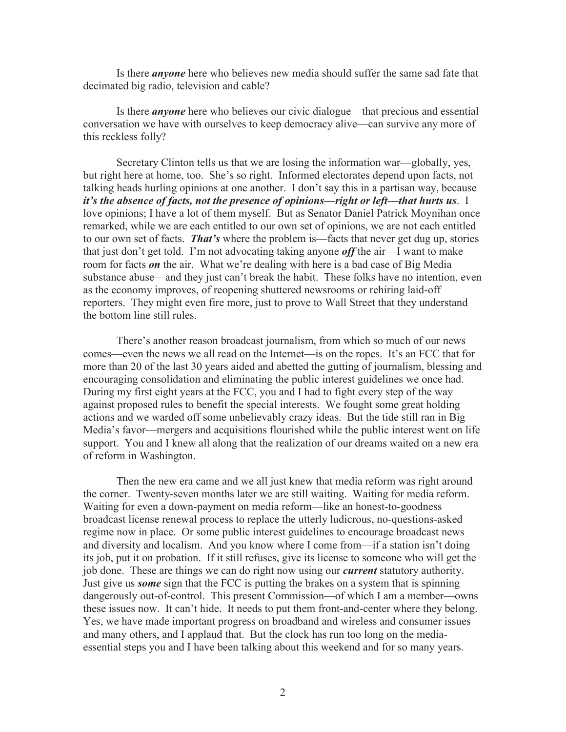Is there *anyone* here who believes new media should suffer the same sad fate that decimated big radio, television and cable?

Is there *anyone* here who believes our civic dialogue—that precious and essential conversation we have with ourselves to keep democracy alive—can survive any more of this reckless folly?

Secretary Clinton tells us that we are losing the information war—globally, yes, but right here at home, too. She's so right. Informed electorates depend upon facts, not talking heads hurling opinions at one another. I don't say this in a partisan way, because *it's the absence of facts, not the presence of opinions—right or left—that hurts us*. I love opinions; I have a lot of them myself. But as Senator Daniel Patrick Moynihan once remarked, while we are each entitled to our own set of opinions, we are not each entitled to our own set of facts. *That's* where the problem is—facts that never get dug up, stories that just don't get told. I'm not advocating taking anyone *off* the air—I want to make room for facts *on* the air. What we're dealing with here is a bad case of Big Media substance abuse—and they just can't break the habit. These folks have no intention, even as the economy improves, of reopening shuttered newsrooms or rehiring laid-off reporters. They might even fire more, just to prove to Wall Street that they understand the bottom line still rules.

There's another reason broadcast journalism, from which so much of our news comes—even the news we all read on the Internet—is on the ropes. It's an FCC that for more than 20 of the last 30 years aided and abetted the gutting of journalism, blessing and encouraging consolidation and eliminating the public interest guidelines we once had. During my first eight years at the FCC, you and I had to fight every step of the way against proposed rules to benefit the special interests. We fought some great holding actions and we warded off some unbelievably crazy ideas. But the tide still ran in Big Media's favor—mergers and acquisitions flourished while the public interest went on life support. You and I knew all along that the realization of our dreams waited on a new era of reform in Washington.

Then the new era came and we all just knew that media reform was right around the corner. Twenty-seven months later we are still waiting. Waiting for media reform. Waiting for even a down-payment on media reform—like an honest-to-goodness broadcast license renewal process to replace the utterly ludicrous, no-questions-asked regime now in place. Or some public interest guidelines to encourage broadcast news and diversity and localism. And you know where I come from—if a station isn't doing its job, put it on probation. If it still refuses, give its license to someone who will get the job done. These are things we can do right now using our *current* statutory authority. Just give us *some* sign that the FCC is putting the brakes on a system that is spinning dangerously out-of-control. This present Commission—of which I am a member—owns these issues now. It can't hide. It needs to put them front-and-center where they belong. Yes, we have made important progress on broadband and wireless and consumer issues and many others, and I applaud that. But the clock has run too long on the mediaessential steps you and I have been talking about this weekend and for so many years.